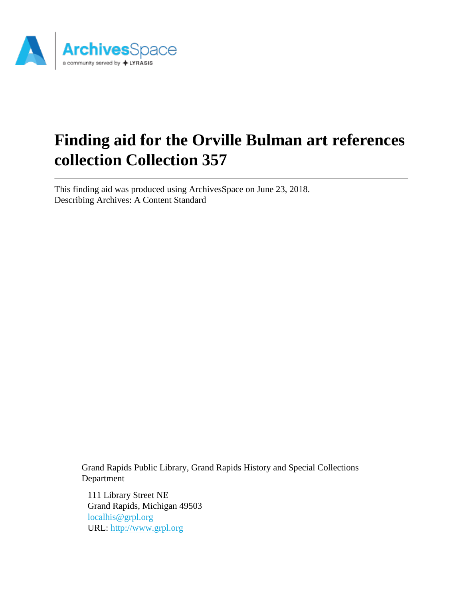

# **Finding aid for the Orville Bulman art references collection Collection 357**

This finding aid was produced using ArchivesSpace on June 23, 2018. Describing Archives: A Content Standard

> Grand Rapids Public Library, Grand Rapids History and Special Collections Department

111 Library Street NE Grand Rapids, Michigan 49503 [localhis@grpl.org](mailto:localhis@grpl.org) URL:<http://www.grpl.org>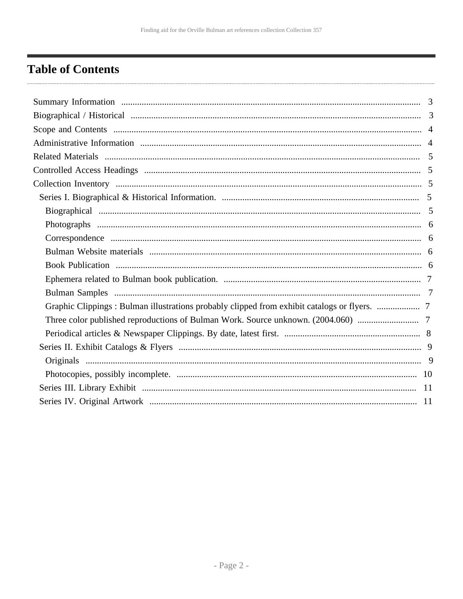# <span id="page-1-0"></span>**Table of Contents**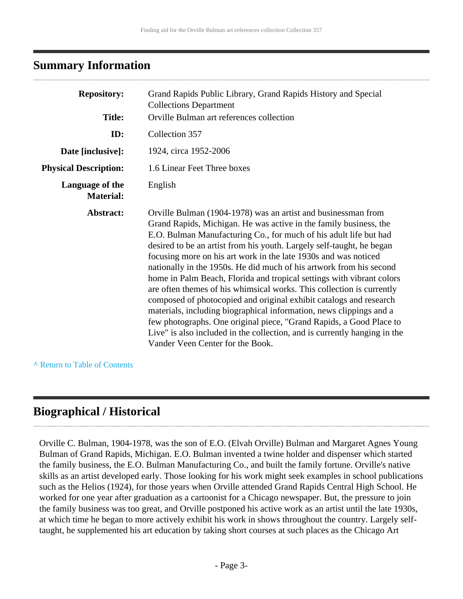### <span id="page-2-0"></span>**Summary Information**

| <b>Repository:</b>                  | Grand Rapids Public Library, Grand Rapids History and Special<br><b>Collections Department</b>                                                                                                                                                                                                                                                                                                                                                                                                                                                                                                                                                                                                                                                                                                                                                                                                                    |
|-------------------------------------|-------------------------------------------------------------------------------------------------------------------------------------------------------------------------------------------------------------------------------------------------------------------------------------------------------------------------------------------------------------------------------------------------------------------------------------------------------------------------------------------------------------------------------------------------------------------------------------------------------------------------------------------------------------------------------------------------------------------------------------------------------------------------------------------------------------------------------------------------------------------------------------------------------------------|
| <b>Title:</b>                       | Orville Bulman art references collection                                                                                                                                                                                                                                                                                                                                                                                                                                                                                                                                                                                                                                                                                                                                                                                                                                                                          |
| ID:                                 | Collection 357                                                                                                                                                                                                                                                                                                                                                                                                                                                                                                                                                                                                                                                                                                                                                                                                                                                                                                    |
| Date [inclusive]:                   | 1924, circa 1952-2006                                                                                                                                                                                                                                                                                                                                                                                                                                                                                                                                                                                                                                                                                                                                                                                                                                                                                             |
| <b>Physical Description:</b>        | 1.6 Linear Feet Three boxes                                                                                                                                                                                                                                                                                                                                                                                                                                                                                                                                                                                                                                                                                                                                                                                                                                                                                       |
| Language of the<br><b>Material:</b> | English                                                                                                                                                                                                                                                                                                                                                                                                                                                                                                                                                                                                                                                                                                                                                                                                                                                                                                           |
| Abstract:                           | Orville Bulman (1904-1978) was an artist and businessman from<br>Grand Rapids, Michigan. He was active in the family business, the<br>E.O. Bulman Manufacturing Co., for much of his adult life but had<br>desired to be an artist from his youth. Largely self-taught, he began<br>focusing more on his art work in the late 1930s and was noticed<br>nationally in the 1950s. He did much of his artwork from his second<br>home in Palm Beach, Florida and tropical settings with vibrant colors<br>are often themes of his whimsical works. This collection is currently<br>composed of photocopied and original exhibit catalogs and research<br>materials, including biographical information, news clippings and a<br>few photographs. One original piece, "Grand Rapids, a Good Place to<br>Live" is also included in the collection, and is currently hanging in the<br>Vander Veen Center for the Book. |

#### **^** [Return to Table of Contents](#page-1-0)

### <span id="page-2-1"></span>**Biographical / Historical**

Orville C. Bulman, 1904-1978, was the son of E.O. (Elvah Orville) Bulman and Margaret Agnes Young Bulman of Grand Rapids, Michigan. E.O. Bulman invented a twine holder and dispenser which started the family business, the E.O. Bulman Manufacturing Co., and built the family fortune. Orville's native skills as an artist developed early. Those looking for his work might seek examples in school publications such as the Helios (1924), for those years when Orville attended Grand Rapids Central High School. He worked for one year after graduation as a cartoonist for a Chicago newspaper. But, the pressure to join the family business was too great, and Orville postponed his active work as an artist until the late 1930s, at which time he began to more actively exhibit his work in shows throughout the country. Largely selftaught, he supplemented his art education by taking short courses at such places as the Chicago Art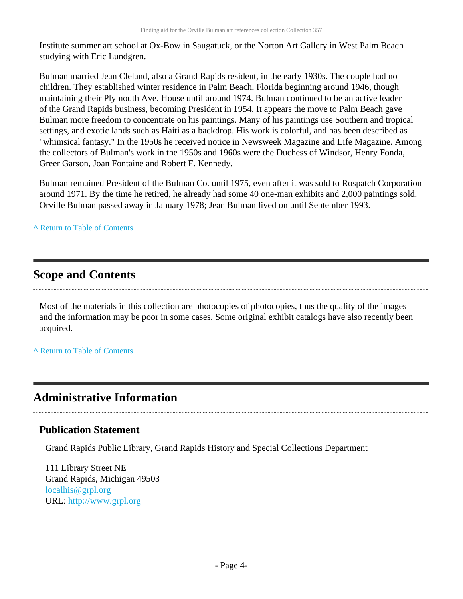Institute summer art school at Ox-Bow in Saugatuck, or the Norton Art Gallery in West Palm Beach studying with Eric Lundgren.

Bulman married Jean Cleland, also a Grand Rapids resident, in the early 1930s. The couple had no children. They established winter residence in Palm Beach, Florida beginning around 1946, though maintaining their Plymouth Ave. House until around 1974. Bulman continued to be an active leader of the Grand Rapids business, becoming President in 1954. It appears the move to Palm Beach gave Bulman more freedom to concentrate on his paintings. Many of his paintings use Southern and tropical settings, and exotic lands such as Haiti as a backdrop. His work is colorful, and has been described as "whimsical fantasy." In the 1950s he received notice in Newsweek Magazine and Life Magazine. Among the collectors of Bulman's work in the 1950s and 1960s were the Duchess of Windsor, Henry Fonda, Greer Garson, Joan Fontaine and Robert F. Kennedy.

Bulman remained President of the Bulman Co. until 1975, even after it was sold to Rospatch Corporation around 1971. By the time he retired, he already had some 40 one-man exhibits and 2,000 paintings sold. Orville Bulman passed away in January 1978; Jean Bulman lived on until September 1993.

#### **^** [Return to Table of Contents](#page-1-0)

### <span id="page-3-0"></span>**Scope and Contents**

Most of the materials in this collection are photocopies of photocopies, thus the quality of the images and the information may be poor in some cases. Some original exhibit catalogs have also recently been acquired.

**^** [Return to Table of Contents](#page-1-0)

## <span id="page-3-1"></span>**Administrative Information**

### **Publication Statement**

Grand Rapids Public Library, Grand Rapids History and Special Collections Department

111 Library Street NE Grand Rapids, Michigan 49503 [localhis@grpl.org](mailto:localhis@grpl.org) URL:<http://www.grpl.org>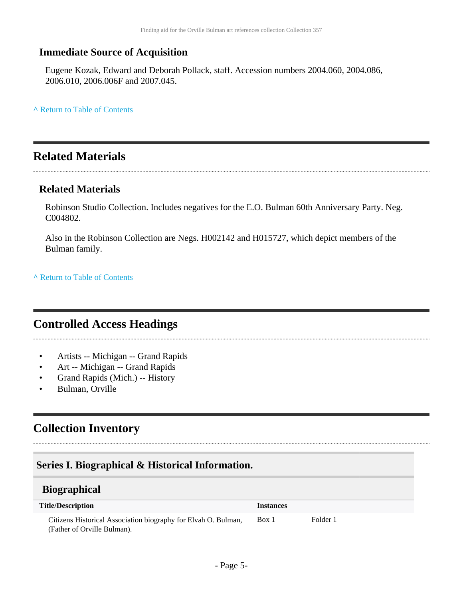### **Immediate Source of Acquisition**

Eugene Kozak, Edward and Deborah Pollack, staff. Accession numbers 2004.060, 2004.086, 2006.010, 2006.006F and 2007.045.

**^** [Return to Table of Contents](#page-1-0)

### <span id="page-4-0"></span>**Related Materials**

#### **Related Materials**

Robinson Studio Collection. Includes negatives for the E.O. Bulman 60th Anniversary Party. Neg. C004802.

Also in the Robinson Collection are Negs. H002142 and H015727, which depict members of the Bulman family.

**^** [Return to Table of Contents](#page-1-0)

### <span id="page-4-1"></span>**Controlled Access Headings**

- Artists -- Michigan -- Grand Rapids
- Art -- Michigan -- Grand Rapids
- Grand Rapids (Mich.) -- History
- Bulman, Orville

### <span id="page-4-2"></span>**Collection Inventory**

### <span id="page-4-3"></span>**Series I. Biographical & Historical Information.**

### <span id="page-4-4"></span>**Biographical**

| <b>Title/Description</b>                                       | <i><u><b>Instances</b></u></i> |          |
|----------------------------------------------------------------|--------------------------------|----------|
| Citizens Historical Association biography for Elvah O. Bulman, | Box 1                          | Folder 1 |
| (Father of Orville Bulman).                                    |                                |          |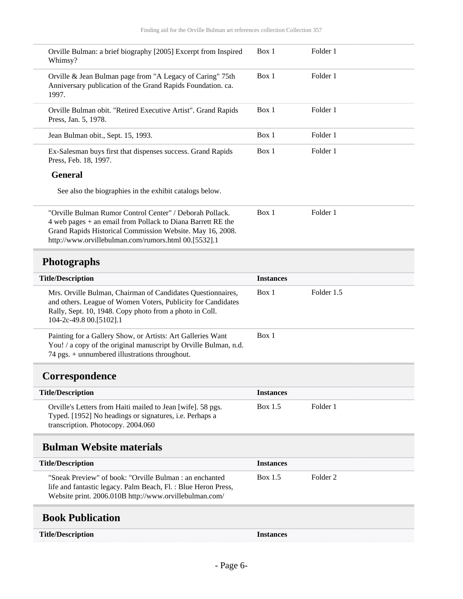<span id="page-5-3"></span><span id="page-5-2"></span><span id="page-5-1"></span><span id="page-5-0"></span>

| Box 1            | Folder 1            |  |
|------------------|---------------------|--|
|                  |                     |  |
| Box 1            | Folder 1            |  |
| Box 1            | Folder 1            |  |
| Box 1            | Folder 1            |  |
| Box 1            | Folder 1            |  |
|                  |                     |  |
|                  |                     |  |
| Box 1            | Folder 1            |  |
|                  |                     |  |
|                  |                     |  |
| <b>Instances</b> |                     |  |
| Box 1            | Folder 1.5          |  |
| Box 1            |                     |  |
|                  |                     |  |
| <b>Instances</b> |                     |  |
| Box 1.5          | Folder 1            |  |
|                  |                     |  |
| <b>Instances</b> |                     |  |
| Box 1.5          | Folder <sub>2</sub> |  |
|                  |                     |  |
|                  |                     |  |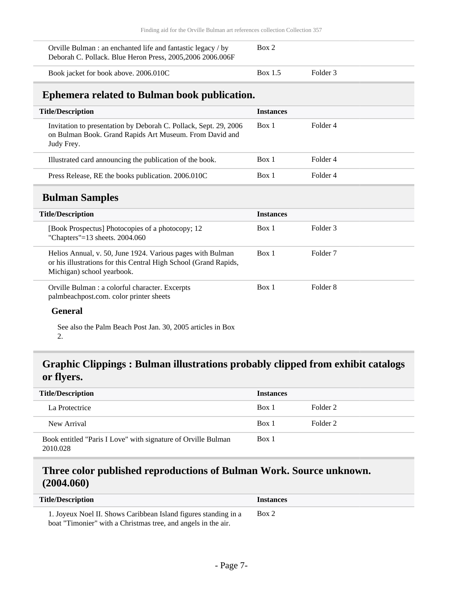| Orville Bulman : an enchanted life and fantastic legacy / by | Box 2 |  |
|--------------------------------------------------------------|-------|--|
| Deborah C. Pollack. Blue Heron Press, 2005, 2006 2006.006F   |       |  |

Book jacket for book above. 2006.010C Box 1.5 Folder 3

# **Ephemera related to Bulman book publication.**

<span id="page-6-1"></span><span id="page-6-0"></span>

| <b>Title/Description</b>                                                                                                                                     | <b>Instances</b> |                     |
|--------------------------------------------------------------------------------------------------------------------------------------------------------------|------------------|---------------------|
| Invitation to presentation by Deborah C. Pollack, Sept. 29, 2006<br>on Bulman Book. Grand Rapids Art Museum. From David and<br>Judy Frey.                    | Box 1            | Folder 4            |
| Illustrated card announcing the publication of the book.                                                                                                     | Box 1            | Folder 4            |
| Press Release, RE the books publication. 2006.010C                                                                                                           | Box 1            | Folder 4            |
| <b>Bulman Samples</b>                                                                                                                                        |                  |                     |
| <b>Title/Description</b>                                                                                                                                     | <b>Instances</b> |                     |
| [Book Prospectus] Photocopies of a photocopy; 12<br>"Chapters"= $13$ sheets. 2004.060                                                                        | Box 1            | Folder <sub>3</sub> |
| Helios Annual, v. 50, June 1924. Various pages with Bulman<br>or his illustrations for this Central High School (Grand Rapids,<br>Michigan) school yearbook. | Box 1            | Folder 7            |
| Orville Bulman : a colorful character. Excerpts<br>palmbeachpost.com. color printer sheets<br>$\mathbf{C}$ . $\mathbf{C}$                                    | Box 1            | Folder <sub>8</sub> |

#### **General**

See also the Palm Beach Post Jan. 30, 2005 articles in Box 2.

### <span id="page-6-2"></span>**Graphic Clippings : Bulman illustrations probably clipped from exhibit catalogs or flyers.**

| <b>Title/Description</b>                                                  | <b>Instances</b> |          |
|---------------------------------------------------------------------------|------------------|----------|
| La Protectrice                                                            | Box 1            | Folder 2 |
| New Arrival                                                               | Box 1            | Folder 2 |
| Book entitled "Paris I Love" with signature of Orville Bulman<br>2010.028 | Box 1            |          |

### <span id="page-6-3"></span>**Three color published reproductions of Bulman Work. Source unknown. (2004.060)**

| <b>Title/Description</b>                                                                                                                                                                                                                                  | Instances |
|-----------------------------------------------------------------------------------------------------------------------------------------------------------------------------------------------------------------------------------------------------------|-----------|
| 1. Joyeux Noel II. Shows Caribbean Island figures standing in a<br>$\mathbf{1}$ and $\mathbf{1}$ and $\mathbf{1}$ and $\mathbf{1}$ and $\mathbf{1}$ and $\mathbf{1}$ and $\mathbf{1}$ and $\mathbf{1}$ and $\mathbf{1}$ and $\mathbf{1}$ and $\mathbf{1}$ | Box 2     |

boat "Timonier" with a Christmas tree, and angels in the air.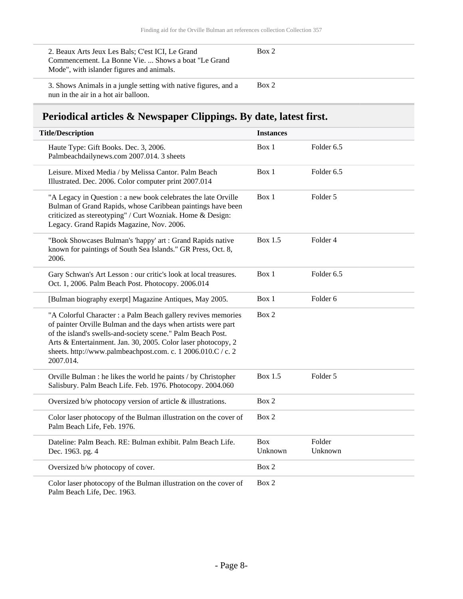| 2. Beaux Arts Jeux Les Bals; C'est ICI, Le Grand<br>Commencement. La Bonne Vie.  Shows a boat "Le Grand"<br>Mode", with islander figures and animals. | Box 2 |
|-------------------------------------------------------------------------------------------------------------------------------------------------------|-------|
| 3. Shows Animals in a jungle setting with native figures, and a<br>nun in the air in a hot air balloon.                                               | Box 2 |

# <span id="page-7-0"></span>**Periodical articles & Newspaper Clippings. By date, latest first.**

| <b>Title/Description</b>                                                                                                                                                                                                                                                                                                                    | <b>Instances</b>      |                     |
|---------------------------------------------------------------------------------------------------------------------------------------------------------------------------------------------------------------------------------------------------------------------------------------------------------------------------------------------|-----------------------|---------------------|
| Haute Type: Gift Books. Dec. 3, 2006.<br>Palmbeachdailynews.com 2007.014. 3 sheets                                                                                                                                                                                                                                                          | Box 1                 | Folder 6.5          |
| Leisure. Mixed Media / by Melissa Cantor. Palm Beach<br>Illustrated. Dec. 2006. Color computer print 2007.014                                                                                                                                                                                                                               | Box 1                 | Folder 6.5          |
| "A Legacy in Question : a new book celebrates the late Orville<br>Bulman of Grand Rapids, whose Caribbean paintings have been<br>criticized as stereotyping" / Curt Wozniak. Home & Design:<br>Legacy. Grand Rapids Magazine, Nov. 2006.                                                                                                    | Box 1                 | Folder 5            |
| "Book Showcases Bulman's 'happy' art : Grand Rapids native<br>known for paintings of South Sea Islands." GR Press, Oct. 8,<br>2006.                                                                                                                                                                                                         | Box 1.5               | Folder 4            |
| Gary Schwan's Art Lesson : our critic's look at local treasures.<br>Oct. 1, 2006. Palm Beach Post. Photocopy. 2006.014                                                                                                                                                                                                                      | Box 1                 | Folder 6.5          |
| [Bulman biography exerpt] Magazine Antiques, May 2005.                                                                                                                                                                                                                                                                                      | Box 1                 | Folder <sub>6</sub> |
| "A Colorful Character : a Palm Beach gallery revives memories<br>of painter Orville Bulman and the days when artists were part<br>of the island's swells-and-society scene." Palm Beach Post.<br>Arts & Entertainment. Jan. 30, 2005. Color laser photocopy, 2<br>sheets. http://www.palmbeachpost.com. c. 1 2006.010.C / c. 2<br>2007.014. | Box 2                 |                     |
| Orville Bulman : he likes the world he paints / by Christopher<br>Salisbury. Palm Beach Life. Feb. 1976. Photocopy. 2004.060                                                                                                                                                                                                                | Box 1.5               | Folder 5            |
| Oversized b/w photocopy version of article & illustrations.                                                                                                                                                                                                                                                                                 | Box 2                 |                     |
| Color laser photocopy of the Bulman illustration on the cover of<br>Palm Beach Life, Feb. 1976.                                                                                                                                                                                                                                             | Box 2                 |                     |
| Dateline: Palm Beach. RE: Bulman exhibit. Palm Beach Life.<br>Dec. 1963. pg. 4                                                                                                                                                                                                                                                              | <b>Box</b><br>Unknown | Folder<br>Unknown   |
| Oversized b/w photocopy of cover.                                                                                                                                                                                                                                                                                                           | Box 2                 |                     |
| Color laser photocopy of the Bulman illustration on the cover of                                                                                                                                                                                                                                                                            | Box 2                 |                     |

Palm Beach Life, Dec. 1963.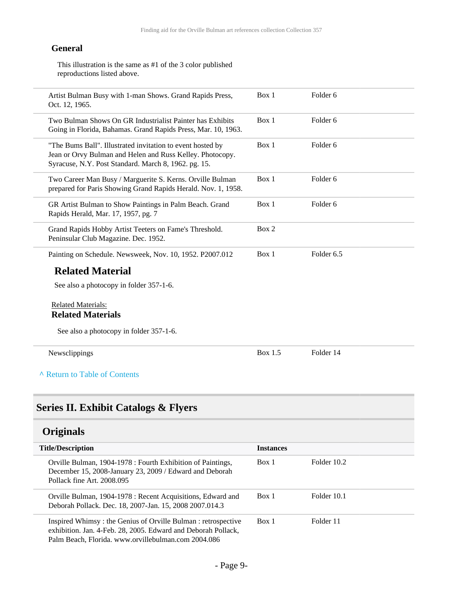#### **General**

This illustration is the same as #1 of the 3 color published reproductions listed above.

| Artist Bulman Busy with 1-man Shows. Grand Rapids Press,<br>Oct. 12, 1965.                                                                                                      | Box 1          | Folder <sub>6</sub> |  |
|---------------------------------------------------------------------------------------------------------------------------------------------------------------------------------|----------------|---------------------|--|
| Two Bulman Shows On GR Industrialist Painter has Exhibits<br>Going in Florida, Bahamas. Grand Rapids Press, Mar. 10, 1963.                                                      | Box 1          | Folder <sub>6</sub> |  |
| "The Bums Ball". Illustrated invitation to event hosted by<br>Jean or Orvy Bulman and Helen and Russ Kelley. Photocopy.<br>Syracuse, N.Y. Post Standard. March 8, 1962. pg. 15. | Box 1          | Folder <sub>6</sub> |  |
| Two Career Man Busy / Marguerite S. Kerns. Orville Bulman<br>prepared for Paris Showing Grand Rapids Herald. Nov. 1, 1958.                                                      | Box 1          | Folder <sub>6</sub> |  |
| GR Artist Bulman to Show Paintings in Palm Beach. Grand<br>Rapids Herald, Mar. 17, 1957, pg. 7                                                                                  | Box 1          | Folder <sub>6</sub> |  |
| Grand Rapids Hobby Artist Teeters on Fame's Threshold.<br>Peninsular Club Magazine. Dec. 1952.                                                                                  | Box 2          |                     |  |
| Painting on Schedule. Newsweek, Nov. 10, 1952. P2007.012                                                                                                                        | Box 1          | Folder 6.5          |  |
| <b>Related Material</b>                                                                                                                                                         |                |                     |  |
| See also a photocopy in folder 357-1-6.                                                                                                                                         |                |                     |  |
| <b>Related Materials:</b><br><b>Related Materials</b>                                                                                                                           |                |                     |  |
| See also a photocopy in folder 357-1-6.                                                                                                                                         |                |                     |  |
| Newsclippings                                                                                                                                                                   | <b>Box 1.5</b> | Folder 14           |  |
| A Return to Table of Contents                                                                                                                                                   |                |                     |  |

# <span id="page-8-1"></span><span id="page-8-0"></span>**Originals**

| <b>Title/Description</b>                                                                                                                                                             | <b>Instances</b> |             |
|--------------------------------------------------------------------------------------------------------------------------------------------------------------------------------------|------------------|-------------|
| Orville Bulman, 1904-1978 : Fourth Exhibition of Paintings,<br>December 15, 2008-January 23, 2009 / Edward and Deborah<br>Pollack fine Art. 2008.095                                 | Box 1            | Folder 10.2 |
| Orville Bulman, 1904-1978 : Recent Acquisitions, Edward and<br>Deborah Pollack. Dec. 18, 2007-Jan. 15, 2008 2007.014.3                                                               | Box 1            | Folder 10.1 |
| Inspired Whimsy: the Genius of Orville Bulman: retrospective<br>exhibition. Jan. 4-Feb. 28, 2005. Edward and Deborah Pollack,<br>Palm Beach, Florida. www.orvillebulman.com 2004.086 | Box 1            | Folder 11   |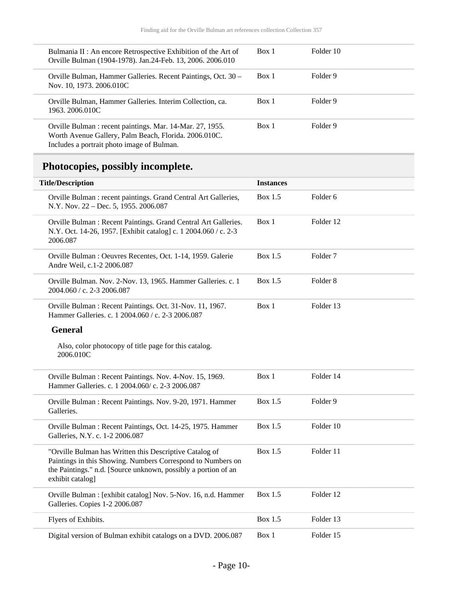| Bulmania II : An encore Retrospective Exhibition of the Art of<br>Orville Bulman (1904-1978). Jan.24-Feb. 13, 2006. 2006.010                                     | Box 1 | Folder 10 |
|------------------------------------------------------------------------------------------------------------------------------------------------------------------|-------|-----------|
| Orville Bulman, Hammer Galleries. Recent Paintings, Oct. 30 –<br>Nov. 10, 1973. 2006.010C                                                                        | Box 1 | Folder 9  |
| Orville Bulman, Hammer Galleries. Interim Collection, ca.<br>1963. 2006.010C                                                                                     | Box 1 | Folder 9  |
| Orville Bulman : recent paintings. Mar. 14-Mar. 27, 1955.<br>Worth Avenue Gallery, Palm Beach, Florida. 2006.010C.<br>Includes a portrait photo image of Bulman. | Box 1 | Folder 9  |

# <span id="page-9-0"></span>**Photocopies, possibly incomplete.**

| <b>Title/Description</b>                                                                                                                                                                                     | <b>Instances</b> |                     |
|--------------------------------------------------------------------------------------------------------------------------------------------------------------------------------------------------------------|------------------|---------------------|
| Orville Bulman : recent paintings. Grand Central Art Galleries,<br>N.Y. Nov. 22 - Dec. 5, 1955. 2006.087                                                                                                     | <b>Box 1.5</b>   | Folder 6            |
| Orville Bulman: Recent Paintings. Grand Central Art Galleries.<br>N.Y. Oct. 14-26, 1957. [Exhibit catalog] c. 1 2004.060 / c. 2-3<br>2006.087                                                                | Box 1            | Folder 12           |
| Orville Bulman : Oeuvres Recentes, Oct. 1-14, 1959. Galerie<br>Andre Weil, c.1-2 2006.087                                                                                                                    | <b>Box 1.5</b>   | Folder <sub>7</sub> |
| Orville Bulman. Nov. 2-Nov. 13, 1965. Hammer Galleries. c. 1<br>2004.060 / c. 2-3 2006.087                                                                                                                   | Box 1.5          | Folder <sub>8</sub> |
| Orville Bulman: Recent Paintings. Oct. 31-Nov. 11, 1967.<br>Hammer Galleries. c. 1 2004.060 / c. 2-3 2006.087                                                                                                | Box 1            | Folder 13           |
| <b>General</b>                                                                                                                                                                                               |                  |                     |
| Also, color photocopy of title page for this catalog.<br>2006.010C                                                                                                                                           |                  |                     |
| Orville Bulman: Recent Paintings. Nov. 4-Nov. 15, 1969.<br>Hammer Galleries. c. 1 2004.060/c. 2-3 2006.087                                                                                                   | Box 1            | Folder 14           |
| Orville Bulman: Recent Paintings. Nov. 9-20, 1971. Hammer<br>Galleries.                                                                                                                                      | Box 1.5          | Folder 9            |
| Orville Bulman: Recent Paintings, Oct. 14-25, 1975. Hammer<br>Galleries, N.Y. c. 1-2 2006.087                                                                                                                | <b>Box 1.5</b>   | Folder 10           |
| "Orville Bulman has Written this Descriptive Catalog of<br>Paintings in this Showing. Numbers Correspond to Numbers on<br>the Paintings." n.d. [Source unknown, possibly a portion of an<br>exhibit catalog] | <b>Box 1.5</b>   | Folder 11           |
| Orville Bulman : [exhibit catalog] Nov. 5-Nov. 16, n.d. Hammer<br>Galleries. Copies 1-2 2006.087                                                                                                             | <b>Box 1.5</b>   | Folder 12           |
| Flyers of Exhibits.                                                                                                                                                                                          | <b>Box 1.5</b>   | Folder 13           |
| Digital version of Bulman exhibit catalogs on a DVD. 2006.087                                                                                                                                                | Box 1            | Folder 15           |